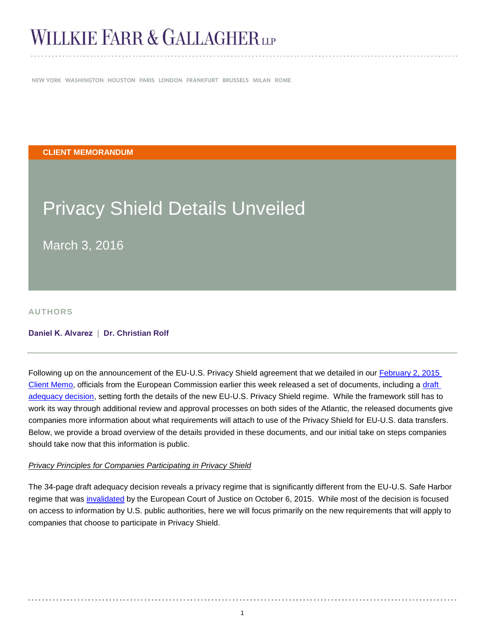# **WILLKIE FARR & GALLAGHERLLP**

NEW YORK WASHINGTON HOUSTON PARIS LONDON FRANKFURT BRUSSELS MILAN ROME

**CLIENT MEMORANDUM**

# Privacy Shield Details Unveiled

March 3, 2016

**AUTHORS**

#### **[Daniel K. Alvarez](http://www.willkie.com/professionals/a/alvarez-daniel) | [Dr. Christian Rolf](http://www.willkie.com/professionals/r/rolf-christian)**

Following up on the announcement of the EU-U.S. Privacy Shield agreement that we detailed in our **February 2, 2015** [Client Memo,](http://www.willkie.com/~/media/Files/Publications/2016/02/EU_US_Privacy_Shield_is_the_New_Safe_Harbor.pdf) officials from the European Commission earlier this week released a set of documents, including a [draft](http://ec.europa.eu/justice/data-protection/files/privacy-shield-adequacy-decision_en.pdf)  [adequacy decision,](http://ec.europa.eu/justice/data-protection/files/privacy-shield-adequacy-decision_en.pdf) setting forth the details of the new EU-U.S. Privacy Shield regime. While the framework still has to work its way through additional review and approval processes on both sides of the Atlantic, the released documents give companies more information about what requirements will attach to use of the Privacy Shield for EU-U.S. data transfers. Below, we provide a broad overview of the details provided in these documents, and our initial take on steps companies should take now that this information is public.

#### *Privacy Principles for Companies Participating in Privacy Shield*

The 34-page draft adequacy decision reveals a privacy regime that is significantly different from the EU-U.S. Safe Harbor regime that was [invalidated](http://www.willkie.com/~/media/Files/Publications/2015/10/European_Court_of_Justice_Declares_EU_US_Safe_Harbor_Framework_Invalid.pdf) by the European Court of Justice on October 6, 2015. While most of the decision is focused on access to information by U.S. public authorities, here we will focus primarily on the new requirements that will apply to companies that choose to participate in Privacy Shield.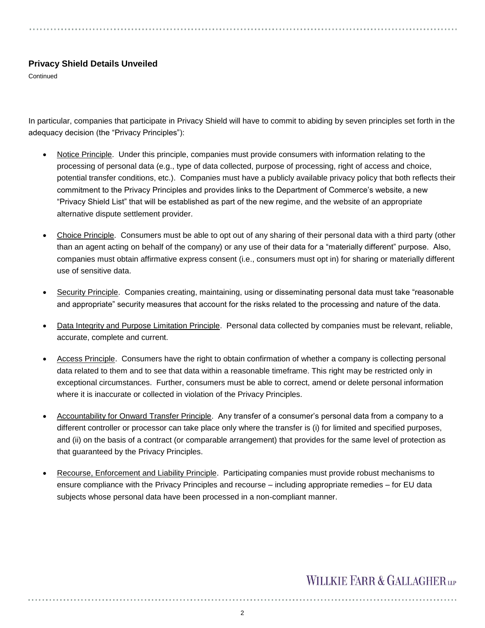## **Privacy Shield Details Unveiled**

**Continued** 

In particular, companies that participate in Privacy Shield will have to commit to abiding by seven principles set forth in the adequacy decision (the "Privacy Principles"):

- Notice Principle. Under this principle, companies must provide consumers with information relating to the processing of personal data (e.g., type of data collected, purpose of processing, right of access and choice, potential transfer conditions, etc.). Companies must have a publicly available privacy policy that both reflects their commitment to the Privacy Principles and provides links to the Department of Commerce's website, a new "Privacy Shield List" that will be established as part of the new regime, and the website of an appropriate alternative dispute settlement provider.
- Choice Principle. Consumers must be able to opt out of any sharing of their personal data with a third party (other than an agent acting on behalf of the company) or any use of their data for a "materially different" purpose. Also, companies must obtain affirmative express consent (i.e., consumers must opt in) for sharing or materially different use of sensitive data.
- Security Principle. Companies creating, maintaining, using or disseminating personal data must take "reasonable and appropriate" security measures that account for the risks related to the processing and nature of the data.
- Data Integrity and Purpose Limitation Principle. Personal data collected by companies must be relevant, reliable, accurate, complete and current.
- Access Principle. Consumers have the right to obtain confirmation of whether a company is collecting personal data related to them and to see that data within a reasonable timeframe. This right may be restricted only in exceptional circumstances. Further, consumers must be able to correct, amend or delete personal information where it is inaccurate or collected in violation of the Privacy Principles.
- Accountability for Onward Transfer Principle. Any transfer of a consumer's personal data from a company to a different controller or processor can take place only where the transfer is (i) for limited and specified purposes, and (ii) on the basis of a contract (or comparable arrangement) that provides for the same level of protection as that guaranteed by the Privacy Principles.
- Recourse, Enforcement and Liability Principle. Participating companies must provide robust mechanisms to ensure compliance with the Privacy Principles and recourse – including appropriate remedies – for EU data subjects whose personal data have been processed in a non-compliant manner.

# **WILLKIE FARR & GALLAGHERUP**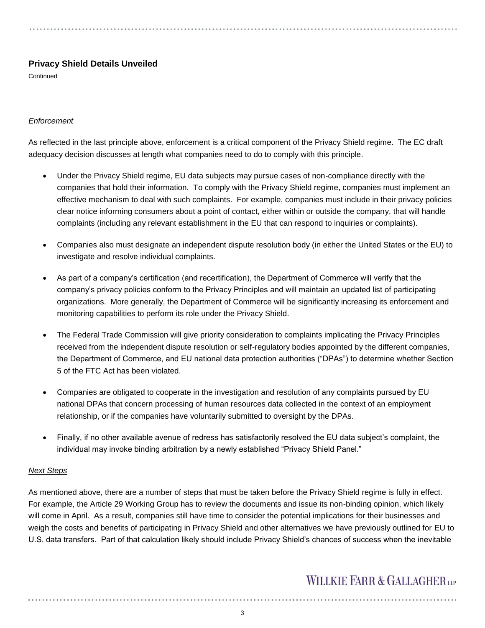## **Privacy Shield Details Unveiled**

**Continued** 

### *Enforcement*

As reflected in the last principle above, enforcement is a critical component of the Privacy Shield regime. The EC draft adequacy decision discusses at length what companies need to do to comply with this principle.

- Under the Privacy Shield regime, EU data subjects may pursue cases of non-compliance directly with the companies that hold their information. To comply with the Privacy Shield regime, companies must implement an effective mechanism to deal with such complaints. For example, companies must include in their privacy policies clear notice informing consumers about a point of contact, either within or outside the company, that will handle complaints (including any relevant establishment in the EU that can respond to inquiries or complaints).
- Companies also must designate an independent dispute resolution body (in either the United States or the EU) to investigate and resolve individual complaints.
- As part of a company's certification (and recertification), the Department of Commerce will verify that the company's privacy policies conform to the Privacy Principles and will maintain an updated list of participating organizations. More generally, the Department of Commerce will be significantly increasing its enforcement and monitoring capabilities to perform its role under the Privacy Shield.
- The Federal Trade Commission will give priority consideration to complaints implicating the Privacy Principles received from the independent dispute resolution or self-regulatory bodies appointed by the different companies, the Department of Commerce, and EU national data protection authorities ("DPAs") to determine whether Section 5 of the FTC Act has been violated.
- Companies are obligated to cooperate in the investigation and resolution of any complaints pursued by EU national DPAs that concern processing of human resources data collected in the context of an employment relationship, or if the companies have voluntarily submitted to oversight by the DPAs.
- Finally, if no other available avenue of redress has satisfactorily resolved the EU data subject's complaint, the individual may invoke binding arbitration by a newly established "Privacy Shield Panel."

#### *Next Steps*

As mentioned above, there are a number of steps that must be taken before the Privacy Shield regime is fully in effect. For example, the Article 29 Working Group has to review the documents and issue its non-binding opinion, which likely will come in April. As a result, companies still have time to consider the potential implications for their businesses and weigh the costs and benefits of participating in Privacy Shield and other alternatives we have previously outlined for EU to U.S. data transfers. Part of that calculation likely should include Privacy Shield's chances of success when the inevitable

## **WILLKIE FARR & GALLAGHERUP**